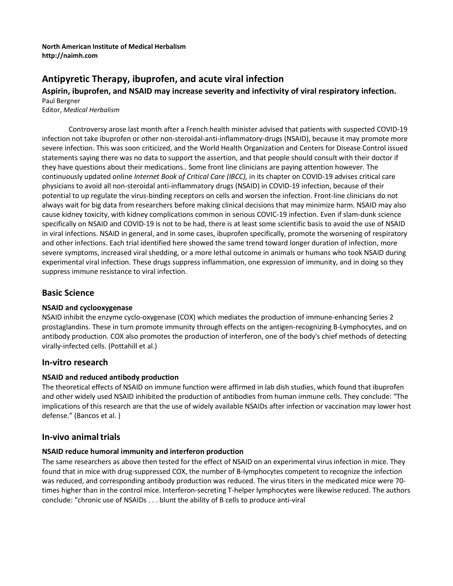#### **North American Institute of Medical Herbalism [http://naimh.com](http://naimh.com/)**

# **Antipyretic Therapy, ibuprofen, and acute viral infection**

**Aspirin, ibuprofen, and NSAID may increase severity and infectivity of viral respiratory infection.** Paul Bergner

Editor, *Medical Herbalism*

Controversy arose last month after a French health minister advised that patients with suspected COVID-19 infection not take ibuprofen or other non-steroidal-anti-inflammatory-drugs (NSAID), because it may promote more severe infection. This was soon criticized, and the World Health Organization and Centers for Disease Control issued statements saying there was no data to support the assertion, and that people should consult with their doctor if they have questions about their medications.. Some front line clinicians are paying attention however. The continuously updated online *Internet Book of Critical Care (IBCC),* in its chapter on COVID-19 advises critical care physicians to avoid all non-steroidal anti-inflammatory drugs (NSAID) in COVID-19 infection, because of their potential to up regulate the virus-binding receptors on cells and worsen the infection. Front-line clinicians do not always wait for big data from researchers before making clinical decisions that may minimize harm. NSAID may also cause kidney toxicity, with kidney complications common in serious COVIC-19 infection. Even if slam-dunk science specifically on NSAID and COVID-19 is not to be had, there is at least some scientific basis to avoid the use of NSAID in viral infections. NSAID in general, and in some cases, ibuprofen specifically, promote the worsening of respiratory and other infections. Each trial identified here showed the same trend toward longer duration of infection, more severe symptoms, increased viral shedding, or a more lethal outcome in animals or humans who took NSAID during experimental viral infection. These drugs suppress inflammation, one expression of immunity, and in doing so they suppress immune resistance to viral infection.

## **Basic Science**

#### **NSAID and cyclooxygenase**

NSAID inhibit the enzyme cyclo-oxygenase (COX) which mediates the production of immune-enhancing Series 2 prostaglandins. These in turn promote immunity through effects on the antigen-recognizing B-Lymphocytes, and on antibody production. COX also promotes the production of interferon, one of the body's chief methods of detecting virally-infected cells. (Pottahill et al.)

### **In-vitro research**

#### **NSAID and reduced antibody production**

The theoretical effects of NSAID on immune function were affirmed in lab dish studies, which found that ibuprofen and other widely used NSAID inhibited the production of antibodies from human immune cells. They conclude: "The implications of this research are that the use of widely available NSAIDs after infection or vaccination may lower host defense." (Bancos et al. )

### **In-vivo animaltrials**

#### **NSAID reduce humoral immunity and interferon production**

The same researchers as above then tested for the effect of NSAID on an experimental virus infection in mice. They found that in mice with drug-suppressed COX, the number of B-lymphocytes competent to recognize the infection was reduced, and corresponding antibody production was reduced. The virus titers in the medicated mice were 70 times higher than in the control mice. Interferon-secreting T-helper lymphocytes were likewise reduced. The authors conclude: "chronic use of NSAIDs . . . blunt the ability of B cells to produce anti-viral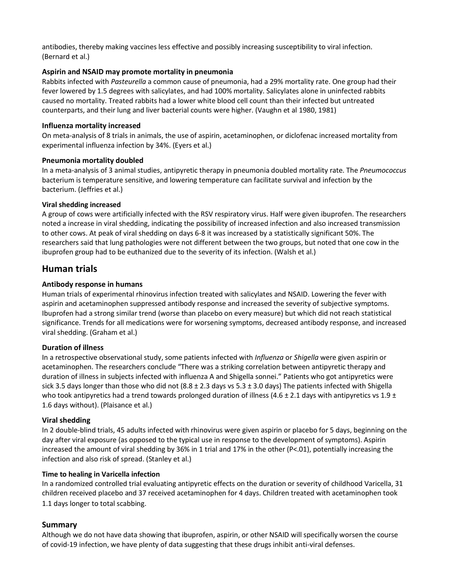antibodies, thereby making vaccines less effective and possibly increasing susceptibility to viral infection. (Bernard et al.)

#### **Aspirin and NSAID may promote mortality in pneumonia**

Rabbits infected with *Pasteurella* a common cause of pneumonia, had a 29% mortality rate. One group had their fever lowered by 1.5 degrees with salicylates, and had 100% mortality. Salicylates alone in uninfected rabbits caused no mortality. Treated rabbits had a lower white blood cell count than their infected but untreated counterparts, and their lung and liver bacterial counts were higher. (Vaughn et al 1980, 1981)

#### **Influenza mortality increased**

On meta-analysis of 8 trials in animals, the use of aspirin, acetaminophen, or diclofenac increased mortality from experimental influenza infection by 34%. (Eyers et al.)

#### **Pneumonia mortality doubled**

In a meta-analysis of 3 animal studies, antipyretic therapy in pneumonia doubled mortality rate. The *Pneumococcus*  bacterium is temperature sensitive, and lowering temperature can facilitate survival and infection by the bacterium. (Jeffries et al.)

#### **Viral shedding increased**

A group of cows were artificially infected with the RSV respiratory virus. Half were given ibuprofen. The researchers noted a increase in viral shedding, indicating the possibility of increased infection and also increased transmission to other cows. At peak of viral shedding on days 6-8 it was increased by a statistically significant 50%. The researchers said that lung pathologies were not different between the two groups, but noted that one cow in the ibuprofen group had to be euthanized due to the severity of its infection. (Walsh et al.)

## **Human trials**

#### **Antibody response in humans**

Human trials of experimental rhinovirus infection treated with salicylates and NSAID. Lowering the fever with aspirin and acetaminophen suppressed antibody response and increased the severity of subjective symptoms. Ibuprofen had a strong similar trend (worse than placebo on every measure) but which did not reach statistical significance. Trends for all medications were for worsening symptoms, decreased antibody response, and increased viral shedding. (Graham et al.)

### **Duration of illness**

In a retrospective observational study, some patients infected with *Influenza* or *Shigella* were given aspirin or acetaminophen. The researchers conclude "There was a striking correlation between antipyretic therapy and duration of illness in subjects infected with influenza A and Shigella sonnei." Patients who got antipyretics were sick 3.5 days longer than those who did not  $(8.8 \pm 2.3$  days vs  $5.3 \pm 3.0$  days) The patients infected with Shigella who took antipyretics had a trend towards prolonged duration of illness (4.6  $\pm$  2.1 days with antipyretics vs 1.9  $\pm$ 1.6 days without). (Plaisance et al.)

#### **Viral shedding**

In 2 double-blind trials, 45 adults infected with rhinovirus were given aspirin or placebo for 5 days, beginning on the day after viral exposure (as opposed to the typical use in response to the development of symptoms). Aspirin increased the amount of viral shedding by 36% in 1 trial and 17% in the other (P<.01), potentially increasing the infection and also risk of spread. (Stanley et al.)

#### **Time to healing in Varicella infection**

In a randomized controlled trial evaluating antipyretic effects on the duration or severity of childhood Varicella, 31 children received placebo and 37 received acetaminophen for 4 days. Children treated with acetaminophen took 1.1 days longer to total scabbing.

### **Summary**

Although we do not have data showing that ibuprofen, aspirin, or other NSAID will specifically worsen the course of covid-19 infection, we have plenty of data suggesting that these drugs inhibit anti-viral defenses.